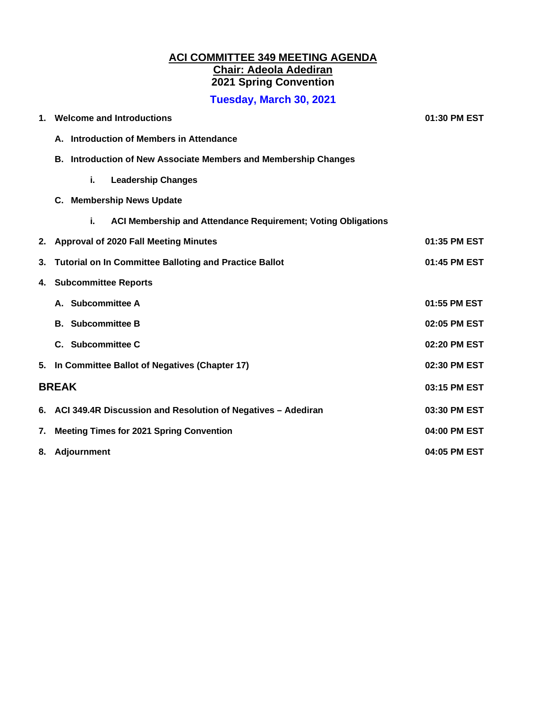## **ACI COMMITTEE 349 MEETING AGENDA Chair: Adeola Adediran 2021 Spring Convention**

**Tuesday, March 30, 2021** 

| $\mathbf 1$ . | <b>Welcome and Introductions</b>                                       | 01:30 PM EST |
|---------------|------------------------------------------------------------------------|--------------|
|               | A. Introduction of Members in Attendance                               |              |
|               | <b>B. Introduction of New Associate Members and Membership Changes</b> |              |
|               | i.<br><b>Leadership Changes</b>                                        |              |
|               | <b>Membership News Update</b><br>C.                                    |              |
|               | i.<br>ACI Membership and Attendance Requirement; Voting Obligations    |              |
|               | 2. Approval of 2020 Fall Meeting Minutes                               | 01:35 PM EST |
| 3.            | <b>Tutorial on In Committee Balloting and Practice Ballot</b>          | 01:45 PM EST |
| 4.            | <b>Subcommittee Reports</b>                                            |              |
|               | A. Subcommittee A                                                      | 01:55 PM EST |
|               | <b>B.</b> Subcommittee B                                               | 02:05 PM EST |
|               | C. Subcommittee C                                                      | 02:20 PM EST |
| 5.            | In Committee Ballot of Negatives (Chapter 17)                          | 02:30 PM EST |
|               | <b>BREAK</b>                                                           |              |
|               | 6. ACI 349.4R Discussion and Resolution of Negatives - Adediran        | 03:30 PM EST |
| 7.            | <b>Meeting Times for 2021 Spring Convention</b>                        | 04:00 PM EST |
|               | 8. Adjournment                                                         | 04:05 PM EST |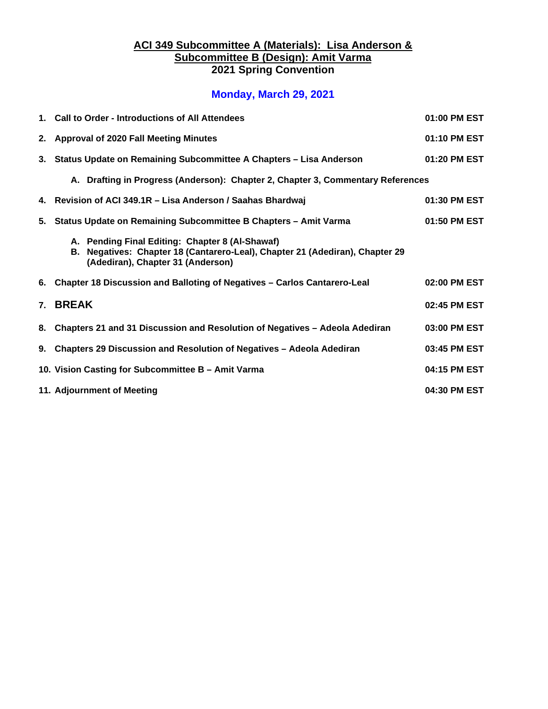### **ACI 349 Subcommittee A (Materials): Lisa Anderson & Subcommittee B (Design): Amit Varma 2021 Spring Convention**

## **Monday, March 29, 2021**

| 1. Call to Order - Introductions of All Attendees                                                                                                                    | 01:00 PM EST |
|----------------------------------------------------------------------------------------------------------------------------------------------------------------------|--------------|
| 2. Approval of 2020 Fall Meeting Minutes                                                                                                                             | 01:10 PM EST |
| 3. Status Update on Remaining Subcommittee A Chapters - Lisa Anderson                                                                                                | 01:20 PM EST |
| A. Drafting in Progress (Anderson): Chapter 2, Chapter 3, Commentary References                                                                                      |              |
| 4. Revision of ACI 349.1R - Lisa Anderson / Saahas Bhardwaj                                                                                                          | 01:30 PM EST |
| 5. Status Update on Remaining Subcommittee B Chapters - Amit Varma                                                                                                   | 01:50 PM EST |
| A. Pending Final Editing: Chapter 8 (Al-Shawaf)<br>B. Negatives: Chapter 18 (Cantarero-Leal), Chapter 21 (Adediran), Chapter 29<br>(Adediran), Chapter 31 (Anderson) |              |
| 6. Chapter 18 Discussion and Balloting of Negatives - Carlos Cantarero-Leal                                                                                          | 02:00 PM EST |
| 7. BREAK                                                                                                                                                             | 02:45 PM EST |
| 8. Chapters 21 and 31 Discussion and Resolution of Negatives - Adeola Adediran                                                                                       | 03:00 PM EST |
| 9. Chapters 29 Discussion and Resolution of Negatives - Adeola Adediran                                                                                              | 03:45 PM EST |
| 10. Vision Casting for Subcommittee B - Amit Varma                                                                                                                   | 04:15 PM EST |
| 11. Adjournment of Meeting                                                                                                                                           | 04:30 PM EST |